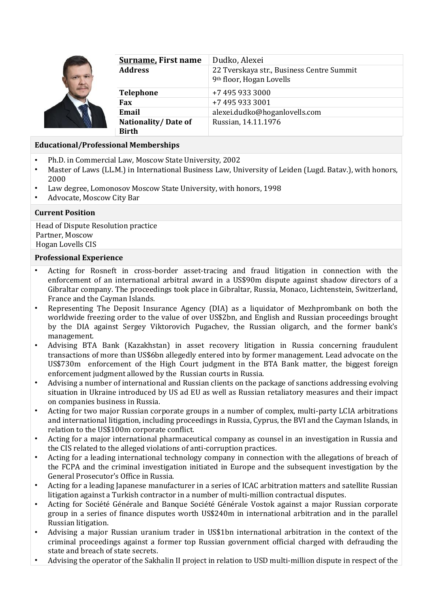

| <u>Surname.</u> First name          | Dudko, Alexei                                                                     |
|-------------------------------------|-----------------------------------------------------------------------------------|
| Address                             | 22 Tverskaya str., Business Centre Summit<br>9 <sup>th</sup> floor, Hogan Lovells |
| Telephone                           | +7 495 933 3000                                                                   |
| Fax                                 | +7 495 933 3001                                                                   |
| Email                               | alexei.dudko@hoganlovells.com                                                     |
| <b>Nationality/Date of</b><br>Birth | Russian, 14.11.1976                                                               |

## **Educational/Professional Memberships**

- Ph.D. in Commercial Law, Moscow State University, 2002
- Master of Laws (LL.M.) in International Business Law, University of Leiden (Lugd. Batav.), with honors, 2000
- Law degree, Lomonosov Moscow State University, with honors, 1998
- Advocate, Moscow City Bar

## **Current Position**

Head of Dispute Resolution practice Partner, Moscow Hogan Lovells CIS

#### **Professional Experience**

- Acting for Rosneft in cross-border asset-tracing and fraud litigation in connection with the enforcement of an international arbitral award in a US\$90m dispute against shadow directors of a Gibraltar company. The proceedings took place in Gibraltar, Russia, Monaco, Lichtenstein, Switzerland, France and the Cayman Islands.
- Representing The Deposit Insurance Agency (DIA) as a liquidator of Mezhprombank on both the worldwide freezing order to the value of over US\$2bn, and English and Russian proceedings brought by the DIA against Sergey Viktorovich Pugachev, the Russian oligarch, and the former bank's management.
- Advising BTA Bank (Kazakhstan) in asset recovery litigation in Russia concerning fraudulent transactions of more than US\$6bn allegedly entered into by former management. Lead advocate on the US\$730m enforcement of the High Court judgment in the BTA Bank matter, the biggest foreign enforcement judgment allowed by the Russian courts in Russia.
- Advising a number of international and Russian clients on the package of sanctions addressing evolving situation in Ukraine introduced by US ad EU as well as Russian retaliatory measures and their impact on companies business in Russia.
- Acting for two major Russian corporate groups in a number of complex, multi-party LCIA arbitrations and international litigation, including proceedings in Russia, Cyprus, the BVI and the Cayman Islands, in relation to the US\$100m corporate conflict.
- Acting for a major international pharmaceutical company as counsel in an investigation in Russia and the CIS related to the alleged violations of anti-corruption practices.
- Acting for a leading international technology company in connection with the allegations of breach of the FCPA and the criminal investigation initiated in Europe and the subsequent investigation by the General Prosecutor's Office in Russia.
- Acting for a leading Japanese manufacturer in a series of ICAC arbitration matters and satellite Russian litigation against a Turkish contractor in a number of multi-million contractual disputes.
- Acting for Société Générale and Banque Société Générale Vostok against a major Russian corporate group in a series of finance disputes worth US\$240m in international arbitration and in the parallel Russian litigation.
- Advising a major Russian uranium trader in US\$1bn international arbitration in the context of the criminal proceedings against a former top Russian government official charged with defrauding the state and breach of state secrets.
- Advising the operator of the Sakhalin II project in relation to USD multi-million dispute in respect of the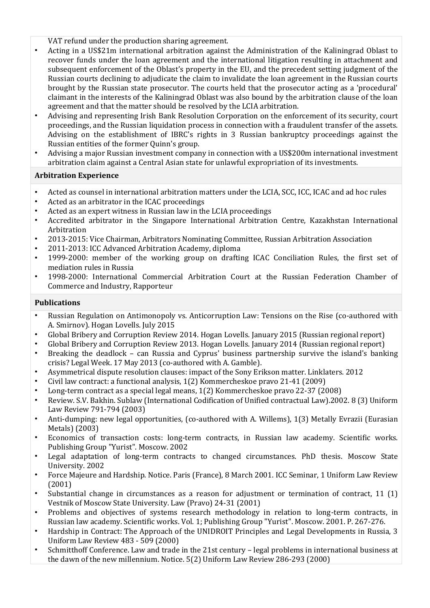- VAT refund under the production sharing agreement.
- Acting in a US\$21m international arbitration against the Administration of the Kaliningrad Oblast to recover funds under the loan agreement and the international litigation resulting in attachment and subsequent enforcement of the Oblast's property in the EU, and the precedent setting judgment of the Russian courts declining to adjudicate the claim to invalidate the loan agreement in the Russian courts brought by the Russian state prosecutor. The courts held that the prosecutor acting as a 'procedural' claimant in the interests of the Kaliningrad Oblast was also bound by the arbitration clause of the loan agreement and that the matter should be resolved by the LCIA arbitration.
- Advising and representing Irish Bank Resolution Corporation on the enforcement of its security, court proceedings, and the Russian liquidation process in connection with a fraudulent transfer of the assets. Advising on the establishment of IBRC's rights in 3 Russian bankruptcy proceedings against the Russian entities of the former Quinn's group.
- Advising a major Russian investment company in connection with a US\$200m international investment arbitration claim against a Central Asian state for unlawful expropriation of its investments.

## **Arbitration Experience**

- Acted as counsel in international arbitration matters under the LCIA, SCC, ICC, ICAC and ad hoc rules
- Acted as an arbitrator in the ICAC proceedings
- Acted as an expert witness in Russian law in the LCIA proceedings
- Accredited arbitrator in the Singapore International Arbitration Centre, Kazakhstan International Arbitration
- 2013-2015: Vice Chairman, Arbitrators Nominating Committee, Russian Arbitration Association
- 2011-2013: ICC Advanced Arbitration Academy, diploma
- 1999-2000: member of the working group on drafting ICAC Conciliation Rules, the first set of mediation rules in Russia
- 1998-2000: International Commercial Arbitration Court at the Russian Federation Chamber of Commerce and Industry, Rapporteur

#### **Publications**

- Russian Regulation on Antimonopoly vs. Anticorruption Law: Tensions on the Rise (co-authored with A. Smirnov). Hogan Lovells. July 2015
- Global Bribery and Corruption Review 2014. Hogan Lovells. January 2015 (Russian regional report)
- Global Bribery and Corruption Review 2013. Hogan Lovells. January 2014 (Russian regional report)
- Breaking the deadlock can Russia and Cyprus' business partnership survive the island's banking crisis? Legal Week. 17 May 2013 (co-authored with A. Gamble).
- Asymmetrical dispute resolution clauses: impact of the Sony Erikson matter. Linklaters. 2012
- Civil law contract: a functional analysis, 1(2) Kommercheskoe pravo 21-41 (2009)
- Long-term contract as a special legal means, 1(2) Kommercheskoe pravo 22-37 (2008)
- Review. S.V. Bakhin. Sublaw (International Codification of Unified contractual Law).2002. 8 (3) Uniform Law Review 791-794 (2003)
- Anti-dumping: new legal opportunities, (co-authored with A. Willems), 1(3) Metally Evrazii (Eurasian Metals) (2003)
- Economics of transaction costs: long-term contracts, in Russian law academy. Scientific works. Publishing Group "Yurist". Moscow. 2002
- Legal adaptation of long-term contracts to changed circumstances. PhD thesis. Moscow State University. 2002
- Force Majeure and Hardship. Notice. Paris (France), 8 March 2001. ICC Seminar, 1 Uniform Law Review (2001)
- Substantial change in circumstances as a reason for adjustment or termination of contract, 11 (1) Vestnik of Moscow State University. Law (Pravo) 24-31 (2001)
- Problems and objectives of systems research methodology in relation to long-term contracts, in Russian law academy. Scientific works. Vol. 1; Publishing Group "Yurist". Moscow. 2001. P. 267-276.
- Hardship in Contract: The Approach of the UNIDROIT Principles and Legal Developments in Russia, 3 Uniform Law Review 483 - 509 (2000)
- Schmitthoff Conference. Law and trade in the 21st century legal problems in international business at the dawn of the new millennium. Notice. 5(2) Uniform Law Review 286-293 (2000)